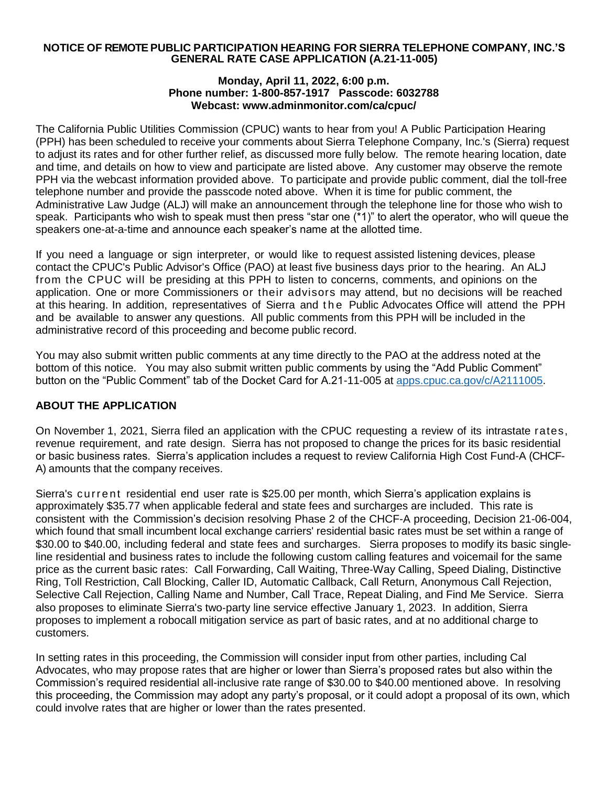### **NOTICE OF REMOTE PUBLIC PARTICIPATION HEARING FOR SIERRA TELEPHONE COMPANY, INC.'S GENERAL RATE CASE APPLICATION (A.21-11-005)**

#### **Monday, April 11, 2022, 6:00 p.m. Phone number: 1-800-857-1917 Passcode: 6032788 Webcast: www.adminmonitor.com/ca/cpuc/**

The California Public Utilities Commission (CPUC) wants to hear from you! A Public Participation Hearing (PPH) has been scheduled to receive your comments about Sierra Telephone Company, Inc.'s (Sierra) request to adjust its rates and for other further relief, as discussed more fully below. The remote hearing location, date and time, and details on how to view and participate are listed above. Any customer may observe the remote PPH via the webcast information provided above. To participate and provide public comment, dial the toll-free telephone number and provide the passcode noted above. When it is time for public comment, the Administrative Law Judge (ALJ) will make an announcement through the telephone line for those who wish to speak. Participants who wish to speak must then press "star one (\*1)" to alert the operator, who will queue the speakers one-at-a-time and announce each speaker's name at the allotted time.

If you need a language or sign interpreter, or would like to request assisted listening devices, please contact the CPUC's Public Advisor's Office (PAO) at least five business days prior to the hearing. An ALJ from the CPUC will be presiding at this PPH to listen to concerns, comments, and opinions on the application. One or more Commissioners or their advisors may attend, but no decisions will be reached at this hearing. In addition, representatives of Sierra and t h e Public Advocates Office will attend the PPH and be available to answer any questions. All public comments from this PPH will be included in the administrative record of this proceeding and become public record.

You may also submit written public comments at any time directly to the PAO at the address noted at the bottom of this notice. You may also submit written public comments by using the "Add Public Comment" button on the "Public Comment" tab of the Docket Card for A.21-11-005 at [apps.cpuc.ca.gov/c/A2111005.](file://///oakwinfile/Users/patrickrosvall/Downloads/apps.cpuc.ca.gov/c/A2111005)

## **ABOUT THE APPLICATION**

On November 1, 2021, Sierra filed an application with the CPUC requesting a review of its intrastate rates, revenue requirement, and rate design. Sierra has not proposed to change the prices for its basic residential or basic business rates. Sierra's application includes a request to review California High Cost Fund-A (CHCF-A) amounts that the company receives.

Sierra's current residential end user rate is \$25.00 per month, which Sierra's application explains is approximately \$35.77 when applicable federal and state fees and surcharges are included. This rate is consistent with the Commission's decision resolving Phase 2 of the CHCF-A proceeding, Decision 21-06-004, which found that small incumbent local exchange carriers' residential basic rates must be set within a range of \$30.00 to \$40.00, including federal and state fees and surcharges. Sierra proposes to modify its basic singleline residential and business rates to include the following custom calling features and voicemail for the same price as the current basic rates: Call Forwarding, Call Waiting, Three‐Way Calling, Speed Dialing, Distinctive Ring, Toll Restriction, Call Blocking, Caller ID, Automatic Callback, Call Return, Anonymous Call Rejection, Selective Call Rejection, Calling Name and Number, Call Trace, Repeat Dialing, and Find Me Service. Sierra also proposes to eliminate Sierra's two‐party line service effective January 1, 2023. In addition, Sierra proposes to implement a robocall mitigation service as part of basic rates, and at no additional charge to customers.

In setting rates in this proceeding, the Commission will consider input from other parties, including Cal Advocates, who may propose rates that are higher or lower than Sierra's proposed rates but also within the Commission's required residential all-inclusive rate range of \$30.00 to \$40.00 mentioned above. In resolving this proceeding, the Commission may adopt any party's proposal, or it could adopt a proposal of its own, which could involve rates that are higher or lower than the rates presented.